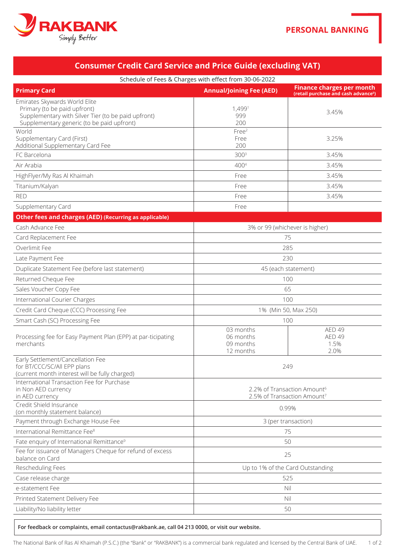

| Schedule of Fees & Charges with effect from 30-06-2022                                                                                                             |                                                                                    |                                                                                      |  |  |
|--------------------------------------------------------------------------------------------------------------------------------------------------------------------|------------------------------------------------------------------------------------|--------------------------------------------------------------------------------------|--|--|
| <b>Primary Card</b>                                                                                                                                                | <b>Annual/Joining Fee (AED)</b>                                                    | <b>Finance charges per month</b><br>(retail purchase and cash advance <sup>5</sup> ) |  |  |
| Emirates Skywards World Elite<br>Primary (to be paid upfront)<br>Supplementary with Silver Tier (to be paid upfront)<br>Supplementary generic (to be paid upfront) | 1,4991<br>999<br>200                                                               | 3.45%                                                                                |  |  |
| World<br>Supplementary Card (First)<br>Additional Supplementary Card Fee                                                                                           | Free <sup>2</sup><br>Free<br>200                                                   | 3.25%                                                                                |  |  |
| FC Barcelona                                                                                                                                                       | 300 <sup>3</sup>                                                                   | 3.45%                                                                                |  |  |
| Air Arabia                                                                                                                                                         | 4004                                                                               | 3.45%                                                                                |  |  |
| HighFlyer/My Ras Al Khaimah                                                                                                                                        | Free                                                                               | 3.45%                                                                                |  |  |
| Titanium/Kalyan                                                                                                                                                    | Free                                                                               | 3.45%                                                                                |  |  |
| <b>RED</b>                                                                                                                                                         | Free                                                                               | 3.45%                                                                                |  |  |
| Supplementary Card                                                                                                                                                 | Free                                                                               |                                                                                      |  |  |
| Other fees and charges (AED) (Recurring as applicable)                                                                                                             |                                                                                    |                                                                                      |  |  |
| Cash Advance Fee                                                                                                                                                   |                                                                                    | 3% or 99 (whichever is higher)                                                       |  |  |
| Card Replacement Fee                                                                                                                                               | 75                                                                                 |                                                                                      |  |  |
| Overlimit Fee                                                                                                                                                      | 285                                                                                |                                                                                      |  |  |
| Late Payment Fee                                                                                                                                                   | 230                                                                                |                                                                                      |  |  |
| Duplicate Statement Fee (before last statement)                                                                                                                    | 45 (each statement)                                                                |                                                                                      |  |  |
| Returned Cheque Fee                                                                                                                                                | 100                                                                                |                                                                                      |  |  |
| Sales Voucher Copy Fee                                                                                                                                             |                                                                                    | 65                                                                                   |  |  |
| International Courier Charges                                                                                                                                      | 100                                                                                |                                                                                      |  |  |
| Credit Card Cheque (CCC) Processing Fee                                                                                                                            |                                                                                    | 1% (Min 50, Max 250)                                                                 |  |  |
| Smart Cash (SC) Processing Fee                                                                                                                                     | 100                                                                                |                                                                                      |  |  |
| Processing fee for Easy Payment Plan (EPP) at par-ticipating<br>merchants                                                                                          | 03 months<br>06 months<br>09 months<br>12 months                                   | <b>AED 49</b><br><b>AED 49</b><br>1.5%<br>2.0%                                       |  |  |
| Early Settlement/Cancellation Fee<br>for BT/CCC/SC/All EPP plans<br>(current month interest will be fully charged)                                                 | 249                                                                                |                                                                                      |  |  |
| International Transaction Fee for Purchase<br>in Non AED currency<br>in AED currency                                                                               | 2.2% of Transaction Amount <sup>6</sup><br>2.5% of Transaction Amount <sup>7</sup> |                                                                                      |  |  |
| Credit Shield Insurance<br>(on monthly statement balance)                                                                                                          | 0.99%                                                                              |                                                                                      |  |  |
| Payment through Exchange House Fee                                                                                                                                 |                                                                                    | 3 (per transaction)                                                                  |  |  |
| International Remittance Fee <sup>8</sup>                                                                                                                          |                                                                                    | 75                                                                                   |  |  |
| Fate enquiry of International Remittance <sup>9</sup>                                                                                                              | 50                                                                                 |                                                                                      |  |  |
| Fee for issuance of Managers Cheque for refund of excess<br>balance on Card                                                                                        | 25                                                                                 |                                                                                      |  |  |
| Rescheduling Fees                                                                                                                                                  |                                                                                    | Up to 1% of the Card Outstanding                                                     |  |  |
| Case release charge                                                                                                                                                |                                                                                    | 525                                                                                  |  |  |
| e-statement Fee                                                                                                                                                    |                                                                                    | Nil                                                                                  |  |  |
| Printed Statement Delivery Fee                                                                                                                                     | Nil                                                                                |                                                                                      |  |  |
| Liability/No liability letter                                                                                                                                      |                                                                                    | 50                                                                                   |  |  |
|                                                                                                                                                                    |                                                                                    |                                                                                      |  |  |

**Consumer Credit Card Service and Price Guide (excluding VAT)** 

For feedback or complaints, email contactus@rakbank.ae, call 04 213 0000, or visit our website.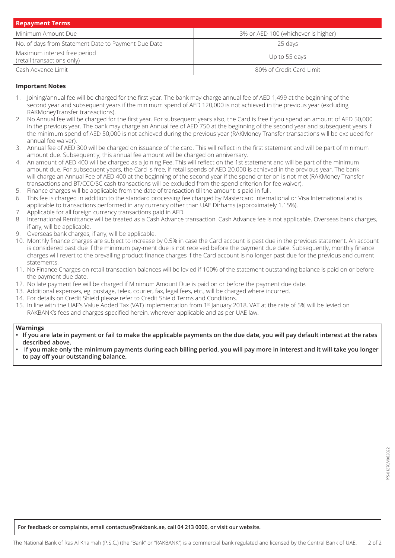| <b>Repayment Terms</b>                                     |                                     |
|------------------------------------------------------------|-------------------------------------|
| Minimum Amount Due                                         | 3% or AED 100 (whichever is higher) |
| No. of days from Statement Date to Payment Due Date        | 25 davs                             |
| Maximum interest free period<br>(retail transactions only) | Up to 55 days                       |
| Cash Advance Limit                                         | 80% of Credit Card Limit            |

## **Important Notes**

- 1. Joining/annual fee will be charged for the first year. The bank may charge annual fee of AED 1,499 at the beginning of the second year and subsequent years if the minimum spend of AED 120,000 is not achieved in the previous year (excluding RAKMoneyTransfer transactions).
- 2. No Annual fee will be charged for the first year. For subsequent years also, the Card is free if you spend an amount of AED 50,000 in the previous year. The bank may charge an Annual fee of AED 750 at the beginning of the second year and subsequent years if the minimum spend of AED 50,000 is not achieved during the previous year (RAKMoney Transfer transactions will be excluded for annual fee waiver).
- 3. Annual fee of AED 300 will be charged on issuance of the card. This will reflect in the first statement and will be part of minimum amount due. Subsequently, this annual fee amount will be charged on anniversary.
- 4. An amount of AED 400 will be charged as a Joining Fee. This will reflect on the 1st statement and will be part of the minimum amount due. For subsequent years, the Card is free, if retail spends of AED 20,000 is achieved in the previous year. The bank will charge an Annual Fee of AED 400 at the beginning of the second year if the spend criterion is not met (RAKMoney Transfer transactions and BT/CCC/SC cash transactions will be excluded from the spend criterion for fee waiver).
- 5. Finance charges will be applicable from the date of transaction till the amount is paid in full.
- 6. This fee is charged in addition to the standard processing fee charged by Mastercard International or Visa International and is applicable to transactions performed in any currency other than UAE Dirhams (approximately 1.15%).
- 7. Applicable for all foreign currency transactions paid in AED.
- 8. International Remittance will be treated as a Cash Advance transaction. Cash Advance fee is not applicable. Overseas bank charges, if any, will be applicable.
- 9. Overseas bank charges, if any, will be applicable.
- 10. Monthly finance charges are subject to increase by 0.5% in case the Card account is past due in the previous statement. An account is considered past due if the minimum pay-ment due is not received before the payment due date. Subsequently, monthly finance charges will revert to the prevailing product finance charges if the Card account is no longer past due for the previous and current .statements
- 11. No Finance Charges on retail transaction balances will be levied if 100% of the statement outstanding balance is paid on or before the payment due date.
- 12. No late payment fee will be charged if Minimum Amount Due is paid on or before the payment due date.
- 13. Additional expenses, eg. postage, telex, courier, fax, legal fees, etc., will be charged where incurred.
- 14. For details on Credit Shield please refer to Credit Shield Terms and Conditions.
- 15. In line with the UAE's Value Added Tax (VAT) implementation from 1st January 2018, VAT at the rate of 5% will be levied on RAKBANK's fees and charges specified herein, wherever applicable and as per UAE law.

### **Warnings**

- **If you are late in payment or fail to make the applicable payments on the due date, you will pay default interest at the rates** described above.
- If you make only the minimum payments during each billing period, you will pay more in interest and it will take you longer to pay off your outstanding balance.

For feedback or complaints, email contactus@rakbank.ae, call 04 213 0000, or visit our website.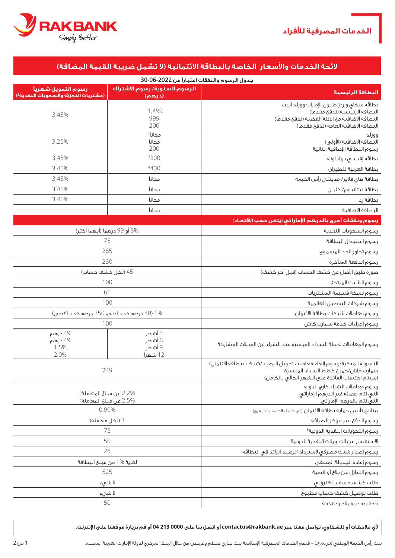



# **الئحة الخدمات واألسعار الخاصة بالبطاقة االئتمانية )ال تشمل ضريبة القيمة المضافة(**

| جدول الرسوم والنفقات اعتباراً من 2022-06-30                             |                                         |                                                                                                                                                              |  |
|-------------------------------------------------------------------------|-----------------------------------------|--------------------------------------------------------------------------------------------------------------------------------------------------------------|--|
| رسوم التمويل شهريأ<br>(مشتريات التجزئة والسحوبات النقدية <sup>5</sup> ) | الرسوم السنوية/ رسوم الاشتراك<br>(درهم) | البطاقة الرئيسية                                                                                                                                             |  |
|                                                                         |                                         | بطاقة سكاى واردز طيران الإمارات وورلد إليت                                                                                                                   |  |
| 3.45%                                                                   | 11,499                                  | البطاقة الرئيسية (تدفع مقدماً)                                                                                                                               |  |
|                                                                         | 999                                     | البطاقة الإضافية مع الفئة الفضية (تدفع مقدماً)                                                                                                               |  |
|                                                                         | 200                                     | البطاقة الإضافية العامة (تدفع مقدماً)                                                                                                                        |  |
|                                                                         | مجاناً ً                                | وورلد                                                                                                                                                        |  |
| 3.25%                                                                   | مجانآ                                   | البطاقة الإضافية (الأولى)                                                                                                                                    |  |
| 3.45%                                                                   | 200<br>3300                             | رسوم البطاقة الإضافية الثانية<br>بطاقة إف سى برشلونة                                                                                                         |  |
| 3.45%                                                                   | 4400                                    | بطاقة العربية للطيران                                                                                                                                        |  |
| 3.45%                                                                   | مجانآ                                   | بطاقة هاى فلاير/ مدينتى رأس الخيمة                                                                                                                           |  |
| 3.45%                                                                   | مجانآ                                   | بطاقة تيتانيوم/ كليان                                                                                                                                        |  |
| 3.45%                                                                   | مجانآ                                   | بطاقة رد                                                                                                                                                     |  |
|                                                                         | مجانآ                                   | البطاقة الإضافية                                                                                                                                             |  |
|                                                                         |                                         | رسوم ونفقات أخرى بالدرهم الإماراتي (يتكرر حسب الاقتضاء)                                                                                                      |  |
| 3% أو 99 درهماً (أيهما أكثر)                                            |                                         | رسوم السحوبات النقدية                                                                                                                                        |  |
| 75                                                                      |                                         | رسوم استبدال البطاقة                                                                                                                                         |  |
| 285                                                                     |                                         | رسوه تجاوز الحد المسموح                                                                                                                                      |  |
| 230                                                                     |                                         | رسوم الدفعة المتأخرة                                                                                                                                         |  |
| 45 (لكل كشف حساب)                                                       |                                         | صورة طبق الأصل عن كشف الحساب (قبل آخر كشف)                                                                                                                   |  |
| 100                                                                     |                                         | رسوم الشيك المرتجع                                                                                                                                           |  |
| 65                                                                      |                                         | رسوم نسخة قسيمة المشتريات                                                                                                                                    |  |
| 100                                                                     |                                         | رسوم شركات التوصيل العالمية                                                                                                                                  |  |
| 1% (50 درهم كحد أدنى، 250 درهم كحد أقصى)                                |                                         | رسوم معاملات شيكات بطاقة الائتمان                                                                                                                            |  |
| 100                                                                     |                                         | رسوم إجراءات خدمة سمارت كاش                                                                                                                                  |  |
| 49 درهم<br>49 درهم<br>1.5%<br>2.0%                                      | 3 أشهر<br>6 أشهر<br>9 أشهر<br>12 شهراً  | رسوم المعاملات لخطة السداد الميسرة عند الشراء من المحلات المشاركة                                                                                            |  |
| 249                                                                     |                                         | التسوية المبكرة/رسوم إلغاء معاملات تحويل الرصيد/شيكات بطاقة الائتمان/<br>سمارت كاش/جميع خطط السداد الميسرة<br>(سيتم احتساب الفائدة على الشهر الحالى بالكامل) |  |
| $63.2\%$ من مبلغ المعاملة<br>$7$ من مبلغ المعاملة $2.5\%$               |                                         | رسوم معاملات الشراء خارج الدولة<br>التى تتم بعملة غير الدرهم الإماراتي<br>التبى تتم بالدرهم الإماراتي                                                        |  |
| 0.99%                                                                   |                                         | برنامج تأمين حماية بطاقة الائتمان (في حَشف الحساب الشهري)                                                                                                    |  |
| 3 (لكل معاملة)                                                          |                                         | رسوم الدفع عبر مراكز الصرافة                                                                                                                                 |  |
| 75                                                                      |                                         | رسوم التحويلات النقدية الدولية <sup>8</sup>                                                                                                                  |  |
| 50                                                                      |                                         | الاستغسار عن التحويلات النقدية الدولية <sup>9</sup>                                                                                                          |  |
| 25                                                                      |                                         | رسوم إصدار شيك مصرفى لاسترداد الرصيد الزائد فى البطاقة                                                                                                       |  |
| لغاية %1 من مبلغ البطاقة                                                |                                         | رسوم إعادة الجدولة المتبقى                                                                                                                                   |  |
| 525                                                                     |                                         | رسوم التنازل عن بلاغ أو قضية                                                                                                                                 |  |
| لا شىء                                                                  |                                         | طلب كشف حساب إلكترونى                                                                                                                                        |  |
| لا شىء                                                                  |                                         | طلب توصيل كشف حساب مطبوع                                                                                                                                     |  |
| 50                                                                      |                                         | خطاب مديونية/براءة ذمة                                                                                                                                       |  |

**ألي مالحظات أو للشكاوي، تواصل معنا عبر ae.rakbank@contactus أو اتصل بنا على 0000 213 04 أو قم بزيارة موقعنا على اإلنترنت.**